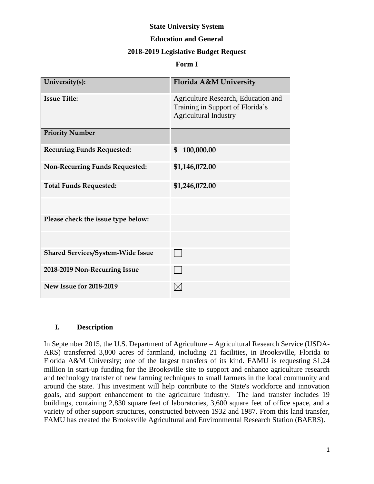# **State University System**

## **Education and General**

## **2018-2019 Legislative Budget Request**

#### **Form I**

| University(s):                           | Florida A&M University                                                                                  |
|------------------------------------------|---------------------------------------------------------------------------------------------------------|
| <b>Issue Title:</b>                      | Agriculture Research, Education and<br>Training in Support of Florida's<br><b>Agricultural Industry</b> |
| <b>Priority Number</b>                   |                                                                                                         |
| <b>Recurring Funds Requested:</b>        | 100,000.00<br>\$                                                                                        |
| <b>Non-Recurring Funds Requested:</b>    | \$1,146,072.00                                                                                          |
| <b>Total Funds Requested:</b>            | \$1,246,072.00                                                                                          |
|                                          |                                                                                                         |
| Please check the issue type below:       |                                                                                                         |
|                                          |                                                                                                         |
| <b>Shared Services/System-Wide Issue</b> |                                                                                                         |
| 2018-2019 Non-Recurring Issue            |                                                                                                         |
| <b>New Issue for 2018-2019</b>           |                                                                                                         |

#### **I. Description**

In September 2015, the U.S. Department of Agriculture – Agricultural Research Service (USDA-ARS) transferred 3,800 acres of farmland, including 21 facilities, in Brooksville, Florida to Florida A&M University; one of the largest transfers of its kind. FAMU is requesting \$1.24 million in start-up funding for the Brooksville site to support and enhance agriculture research and technology transfer of new farming techniques to small farmers in the local community and around the state. This investment will help contribute to the State's workforce and innovation goals, and support enhancement to the agriculture industry. The land transfer includes 19 buildings, containing 2,830 square feet of laboratories, 3,600 square feet of office space, and a variety of other support structures, constructed between 1932 and 1987. From this land transfer, FAMU has created the Brooksville Agricultural and Environmental Research Station (BAERS).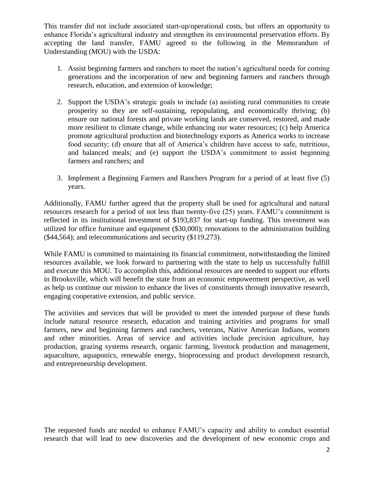This transfer did not include associated start-up/operational costs, but offers an opportunity to enhance Florida's agricultural industry and strengthen its environmental preservation efforts. By accepting the land transfer, FAMU agreed to the following in the Memorandum of Understanding (MOU) with the USDA:

- 1. Assist beginning farmers and ranchers to meet the nation's agricultural needs for coming generations and the incorporation of new and beginning farmers and ranchers through research, education, and extension of knowledge;
- 2. Support the USDA's strategic goals to include (a) assisting rural communities to create prosperity so they are self-sustaining, repopulating, and economically thriving; (b) ensure our national forests and private working lands are conserved, restored, and made more resilient to climate change, while enhancing our water resources; (c) help America promote agricultural production and biotechnology exports as America works to increase food security; (d) ensure that all of America's children have access to safe, nutritious, and balanced meals; and (e) support the USDA's commitment to assist beginning farmers and ranchers; and
- 3. Implement a Beginning Farmers and Ranchers Program for a period of at least five (5) years.

Additionally, FAMU further agreed that the property shall be used for agricultural and natural resources research for a period of not less than twenty-five (25) years. FAMU's commitment is reflected in its institutional investment of \$193,837 for start-up funding. This investment was utilized for office furniture and equipment (\$30,000); renovations to the administration building (\$44,564); and telecommunications and security (\$119,273).

While FAMU is committed to maintaining its financial commitment, notwithstanding the limited resources available, we look forward to partnering with the state to help us successfully fulfill and execute this MOU. To accomplish this, additional resources are needed to support our efforts in Brooksville, which will benefit the state from an economic empowerment perspective, as well as help us continue our mission to enhance the lives of constituents through innovative research, engaging cooperative extension, and public service.

The activities and services that will be provided to meet the intended purpose of these funds include natural resource research, education and training activities and programs for small farmers, new and beginning farmers and ranchers, veterans, Native American Indians, women and other minorities. Areas of service and activities include precision agriculture, hay production, grazing systems research, organic farming, livestock production and management, aquaculture, aquaponics, renewable energy, bioprocessing and product development research, and entrepreneurship development.

The requested funds are needed to enhance FAMU's capacity and ability to conduct essential research that will lead to new discoveries and the development of new economic crops and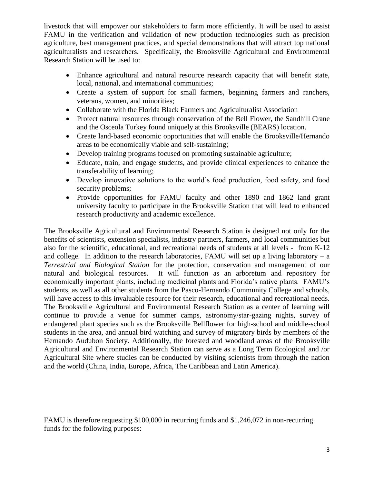livestock that will empower our stakeholders to farm more efficiently. It will be used to assist FAMU in the verification and validation of new production technologies such as precision agriculture, best management practices, and special demonstrations that will attract top national agriculturalists and researchers. Specifically, the Brooksville Agricultural and Environmental Research Station will be used to:

- Enhance agricultural and natural resource research capacity that will benefit state, local, national, and international communities;
- Create a system of support for small farmers, beginning farmers and ranchers, veterans, women, and minorities;
- Collaborate with the Florida Black Farmers and Agriculturalist Association
- Protect natural resources through conservation of the Bell Flower, the Sandhill Crane and the Osceola Turkey found uniquely at this Brooksville (BEARS) location.
- Create land-based economic opportunities that will enable the Brooksville/Hernando areas to be economically viable and self-sustaining;
- Develop training programs focused on promoting sustainable agriculture;
- Educate, train, and engage students, and provide clinical experiences to enhance the transferability of learning;
- Develop innovative solutions to the world's food production, food safety, and food security problems;
- Provide opportunities for FAMU faculty and other 1890 and 1862 land grant university faculty to participate in the Brooksville Station that will lead to enhanced research productivity and academic excellence.

The Brooksville Agricultural and Environmental Research Station is designed not only for the benefits of scientists, extension specialists, industry partners, farmers, and local communities but also for the scientific, educational, and recreational needs of students at all levels - from K-12 and college. In addition to the research laboratories, FAMU will set up a living laboratory – a *Terrestrial and Biological Station* for the protection, conservation and management of our natural and biological resources. It will function as an arboretum and repository for economically important plants, including medicinal plants and Florida's native plants. FAMU's students, as well as all other students from the Pasco-Hernando Community College and schools, will have access to this invaluable resource for their research, educational and recreational needs. The Brooksville Agricultural and Environmental Research Station as a center of learning will continue to provide a venue for summer camps, astronomy/star-gazing nights, survey of endangered plant species such as the Brooksville Bellflower for high-school and middle-school students in the area, and annual bird watching and survey of migratory birds by members of the Hernando Audubon Society. Additionally, the forested and woodland areas of the Brooksville Agricultural and Environmental Research Station can serve as a Long Term Ecological and /or Agricultural Site where studies can be conducted by visiting scientists from through the nation and the world (China, India, Europe, Africa, The Caribbean and Latin America).

FAMU is therefore requesting \$100,000 in recurring funds and \$1,246,072 in non-recurring funds for the following purposes: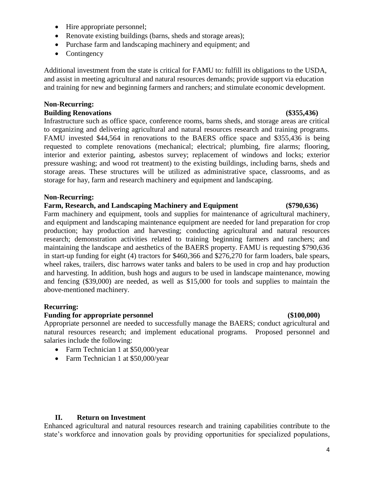- Hire appropriate personnel;
- Renovate existing buildings (barns, sheds and storage areas);
- Purchase farm and landscaping machinery and equipment; and
- Contingency

Additional investment from the state is critical for FAMU to: fulfill its obligations to the USDA, and assist in meeting agricultural and natural resources demands; provide support via education and training for new and beginning farmers and ranchers; and stimulate economic development.

#### **Non-Recurring: Building Renovations (\$355,436)**

# Infrastructure such as office space, conference rooms, barns sheds, and storage areas are critical to organizing and delivering agricultural and natural resources research and training programs. FAMU invested \$44,564 in renovations to the BAERS office space and \$355,436 is being requested to complete renovations (mechanical; electrical; plumbing, fire alarms; flooring, interior and exterior painting, asbestos survey; replacement of windows and locks; exterior pressure washing; and wood rot treatment) to the existing buildings, including barns, sheds and storage areas. These structures will be utilized as administrative space, classrooms, and as storage for hay, farm and research machinery and equipment and landscaping.

#### **Non-Recurring:**

### **Farm, Research, and Landscaping Machinery and Equipment (\$790,636)**

Farm machinery and equipment, tools and supplies for maintenance of agricultural machinery, and equipment and landscaping maintenance equipment are needed for land preparation for crop production; hay production and harvesting; conducting agricultural and natural resources research; demonstration activities related to training beginning farmers and ranchers; and maintaining the landscape and aesthetics of the BAERS property. FAMU is requesting \$790,636 in start-up funding for eight (4) tractors for \$460,366 and \$276,270 for farm loaders, bale spears, wheel rakes, trailers, disc harrows water tanks and balers to be used in crop and hay production and harvesting. In addition, bush hogs and augurs to be used in landscape maintenance, mowing and fencing (\$39,000) are needed, as well as \$15,000 for tools and supplies to maintain the above-mentioned machinery.

#### **Recurring:**

#### **Funding for appropriate personnel (\$100,000)** (\$100,000)

Appropriate personnel are needed to successfully manage the BAERS; conduct agricultural and natural resources research; and implement educational programs. Proposed personnel and salaries include the following:

- Farm Technician 1 at \$50,000/year
- Farm Technician 1 at \$50,000/year

## **II. Return on Investment**

Enhanced agricultural and natural resources research and training capabilities contribute to the state's workforce and innovation goals by providing opportunities for specialized populations,